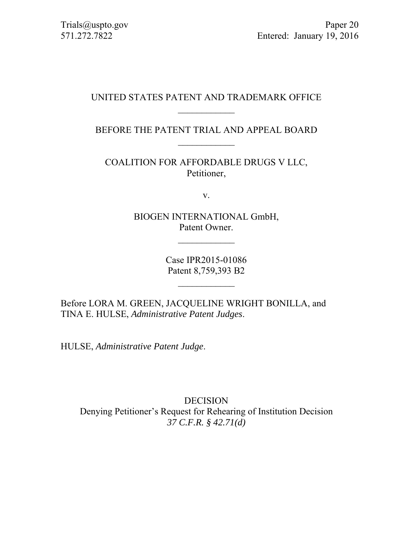# UNITED STATES PATENT AND TRADEMARK OFFICE

BEFORE THE PATENT TRIAL AND APPEAL BOARD  $\frac{1}{2}$ 

COALITION FOR AFFORDABLE DRUGS V LLC, Petitioner,

v.

BIOGEN INTERNATIONAL GmbH, Patent Owner.

 $\frac{1}{2}$ 

Case IPR2015-01086 Patent 8,759,393 B2

 $\frac{1}{2}$ 

Before LORA M. GREEN, JACQUELINE WRIGHT BONILLA, and TINA E. HULSE, *Administrative Patent Judges*.

HULSE, *Administrative Patent Judge*.

DECISION Denying Petitioner's Request for Rehearing of Institution Decision *37 C.F.R. § 42.71(d)*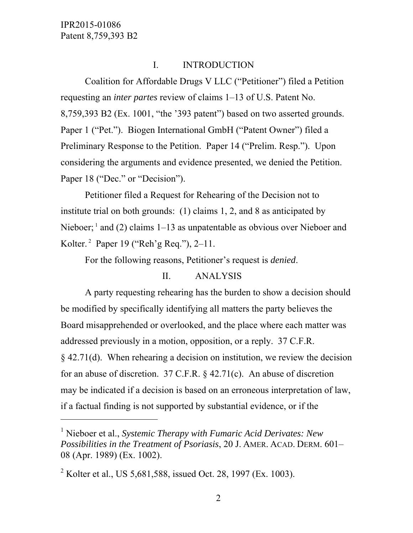$\overline{a}$ 

## I. INTRODUCTION

Coalition for Affordable Drugs V LLC ("Petitioner") filed a Petition requesting an *inter partes* review of claims 1–13 of U.S. Patent No. 8,759,393 B2 (Ex. 1001, "the '393 patent") based on two asserted grounds. Paper 1 ("Pet."). Biogen International GmbH ("Patent Owner") filed a Preliminary Response to the Petition. Paper 14 ("Prelim. Resp."). Upon considering the arguments and evidence presented, we denied the Petition. Paper 18 ("Dec." or "Decision").

Petitioner filed a Request for Rehearing of the Decision not to institute trial on both grounds: (1) claims 1, 2, and 8 as anticipated by Nieboer;  $\frac{1}{2}$  and (2) claims 1–13 as unpatentable as obvious over Nieboer and Kolter. 2 Paper 19 ("Reh'g Req."), 2–11.

For the following reasons, Petitioner's request is *denied*.

### II. ANALYSIS

A party requesting rehearing has the burden to show a decision should be modified by specifically identifying all matters the party believes the Board misapprehended or overlooked, and the place where each matter was addressed previously in a motion, opposition, or a reply. 37 C.F.R. § 42.71(d). When rehearing a decision on institution, we review the decision for an abuse of discretion. 37 C.F.R. § 42.71(c). An abuse of discretion may be indicated if a decision is based on an erroneous interpretation of law, if a factual finding is not supported by substantial evidence, or if the

<sup>&</sup>lt;sup>1</sup> Nieboer et al., *Systemic Therapy with Fumaric Acid Derivates: New Possibilities in the Treatment of Psoriasis*, 20 J. AMER. ACAD. DERM. 601– 08 (Apr. 1989) (Ex. 1002).

<sup>&</sup>lt;sup>2</sup> Kolter et al., US 5,681,588, issued Oct. 28, 1997 (Ex. 1003).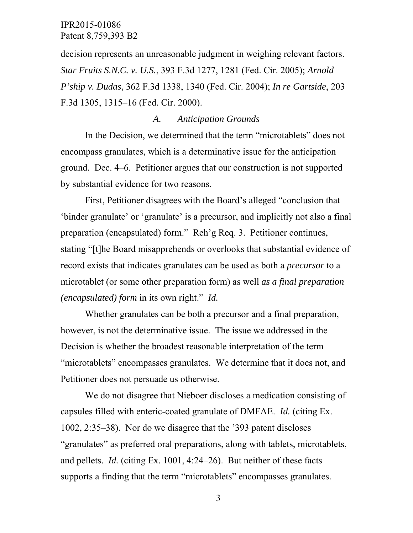decision represents an unreasonable judgment in weighing relevant factors. *Star Fruits S.N.C. v. U.S.*, 393 F.3d 1277, 1281 (Fed. Cir. 2005); *Arnold P'ship v. Dudas*, 362 F.3d 1338, 1340 (Fed. Cir. 2004); *In re Gartside*, 203 F.3d 1305, 1315–16 (Fed. Cir. 2000).

#### *A. Anticipation Grounds*

In the Decision, we determined that the term "microtablets" does not encompass granulates, which is a determinative issue for the anticipation ground. Dec. 4–6. Petitioner argues that our construction is not supported by substantial evidence for two reasons.

First, Petitioner disagrees with the Board's alleged "conclusion that 'binder granulate' or 'granulate' is a precursor, and implicitly not also a final preparation (encapsulated) form." Reh'g Req. 3. Petitioner continues, stating "[t]he Board misapprehends or overlooks that substantial evidence of record exists that indicates granulates can be used as both a *precursor* to a microtablet (or some other preparation form) as well *as a final preparation (encapsulated) form* in its own right." *Id.*

Whether granulates can be both a precursor and a final preparation, however, is not the determinative issue. The issue we addressed in the Decision is whether the broadest reasonable interpretation of the term "microtablets" encompasses granulates. We determine that it does not, and Petitioner does not persuade us otherwise.

We do not disagree that Nieboer discloses a medication consisting of capsules filled with enteric-coated granulate of DMFAE. *Id.* (citing Ex. 1002, 2:35–38). Nor do we disagree that the '393 patent discloses "granulates" as preferred oral preparations, along with tablets, microtablets, and pellets. *Id.* (citing Ex. 1001, 4:24–26). But neither of these facts supports a finding that the term "microtablets" encompasses granulates.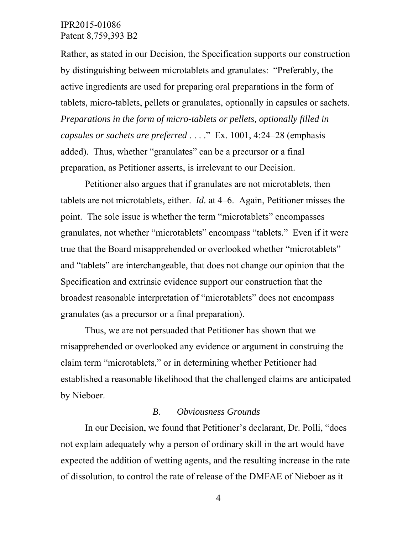Rather, as stated in our Decision, the Specification supports our construction by distinguishing between microtablets and granulates: "Preferably, the active ingredients are used for preparing oral preparations in the form of tablets, micro-tablets, pellets or granulates, optionally in capsules or sachets. *Preparations in the form of micro-tablets or pellets, optionally filled in capsules or sachets are preferred* . . . ." Ex. 1001, 4:24–28 (emphasis added). Thus, whether "granulates" can be a precursor or a final preparation, as Petitioner asserts, is irrelevant to our Decision.

Petitioner also argues that if granulates are not microtablets, then tablets are not microtablets, either. *Id.* at 4–6. Again, Petitioner misses the point. The sole issue is whether the term "microtablets" encompasses granulates, not whether "microtablets" encompass "tablets." Even if it were true that the Board misapprehended or overlooked whether "microtablets" and "tablets" are interchangeable, that does not change our opinion that the Specification and extrinsic evidence support our construction that the broadest reasonable interpretation of "microtablets" does not encompass granulates (as a precursor or a final preparation).

Thus, we are not persuaded that Petitioner has shown that we misapprehended or overlooked any evidence or argument in construing the claim term "microtablets," or in determining whether Petitioner had established a reasonable likelihood that the challenged claims are anticipated by Nieboer.

#### *B. Obviousness Grounds*

In our Decision, we found that Petitioner's declarant, Dr. Polli, "does not explain adequately why a person of ordinary skill in the art would have expected the addition of wetting agents, and the resulting increase in the rate of dissolution, to control the rate of release of the DMFAE of Nieboer as it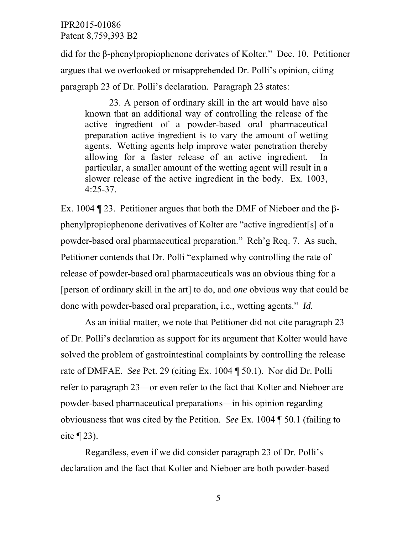did for the β-phenylpropiophenone derivates of Kolter." Dec. 10. Petitioner argues that we overlooked or misapprehended Dr. Polli's opinion, citing paragraph 23 of Dr. Polli's declaration. Paragraph 23 states:

23. A person of ordinary skill in the art would have also known that an additional way of controlling the release of the active ingredient of a powder-based oral pharmaceutical preparation active ingredient is to vary the amount of wetting agents. Wetting agents help improve water penetration thereby allowing for a faster release of an active ingredient. In particular, a smaller amount of the wetting agent will result in a slower release of the active ingredient in the body. Ex. 1003, 4:25-37.

Ex. 1004 ¶ 23. Petitioner argues that both the DMF of Nieboer and the βphenylpropiophenone derivatives of Kolter are "active ingredient[s] of a powder-based oral pharmaceutical preparation." Reh'g Req. 7. As such, Petitioner contends that Dr. Polli "explained why controlling the rate of release of powder-based oral pharmaceuticals was an obvious thing for a [person of ordinary skill in the art] to do, and *one* obvious way that could be done with powder-based oral preparation, i.e., wetting agents." *Id.*

As an initial matter, we note that Petitioner did not cite paragraph 23 of Dr. Polli's declaration as support for its argument that Kolter would have solved the problem of gastrointestinal complaints by controlling the release rate of DMFAE. *See* Pet. 29 (citing Ex. 1004 ¶ 50.1). Nor did Dr. Polli refer to paragraph 23—or even refer to the fact that Kolter and Nieboer are powder-based pharmaceutical preparations—in his opinion regarding obviousness that was cited by the Petition. *See* Ex. 1004 ¶ 50.1 (failing to cite  $\P$  23).

Regardless, even if we did consider paragraph 23 of Dr. Polli's declaration and the fact that Kolter and Nieboer are both powder-based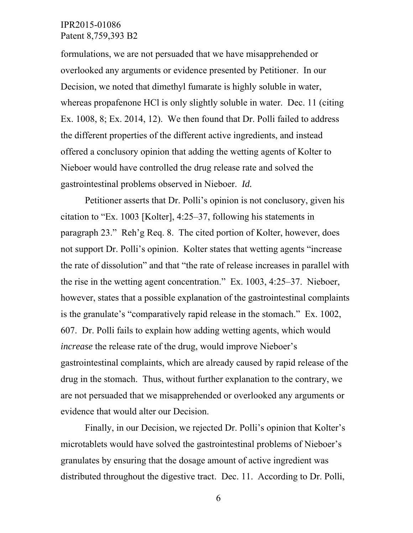formulations, we are not persuaded that we have misapprehended or overlooked any arguments or evidence presented by Petitioner. In our Decision, we noted that dimethyl fumarate is highly soluble in water, whereas propafenone HCl is only slightly soluble in water. Dec. 11 (citing Ex. 1008, 8; Ex. 2014, 12). We then found that Dr. Polli failed to address the different properties of the different active ingredients, and instead offered a conclusory opinion that adding the wetting agents of Kolter to Nieboer would have controlled the drug release rate and solved the gastrointestinal problems observed in Nieboer. *Id.*

Petitioner asserts that Dr. Polli's opinion is not conclusory, given his citation to "Ex. 1003 [Kolter], 4:25–37, following his statements in paragraph 23." Reh'g Req. 8. The cited portion of Kolter, however, does not support Dr. Polli's opinion. Kolter states that wetting agents "increase the rate of dissolution" and that "the rate of release increases in parallel with the rise in the wetting agent concentration." Ex. 1003, 4:25–37. Nieboer, however, states that a possible explanation of the gastrointestinal complaints is the granulate's "comparatively rapid release in the stomach." Ex. 1002, 607. Dr. Polli fails to explain how adding wetting agents, which would *increase* the release rate of the drug, would improve Nieboer's gastrointestinal complaints, which are already caused by rapid release of the drug in the stomach. Thus, without further explanation to the contrary, we are not persuaded that we misapprehended or overlooked any arguments or evidence that would alter our Decision.

Finally, in our Decision, we rejected Dr. Polli's opinion that Kolter's microtablets would have solved the gastrointestinal problems of Nieboer's granulates by ensuring that the dosage amount of active ingredient was distributed throughout the digestive tract. Dec. 11. According to Dr. Polli,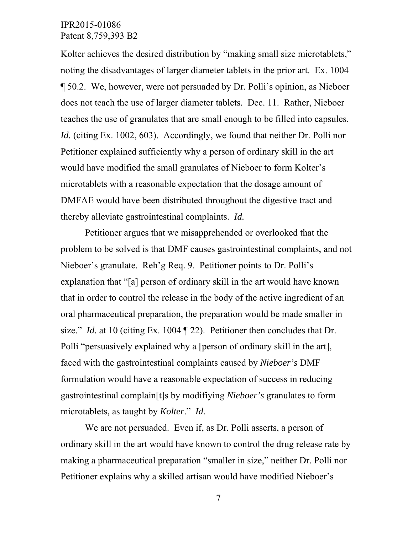Kolter achieves the desired distribution by "making small size microtablets," noting the disadvantages of larger diameter tablets in the prior art. Ex. 1004 ¶ 50.2. We, however, were not persuaded by Dr. Polli's opinion, as Nieboer does not teach the use of larger diameter tablets. Dec. 11. Rather, Nieboer teaches the use of granulates that are small enough to be filled into capsules. *Id.* (citing Ex. 1002, 603). Accordingly, we found that neither Dr. Polli nor Petitioner explained sufficiently why a person of ordinary skill in the art would have modified the small granulates of Nieboer to form Kolter's microtablets with a reasonable expectation that the dosage amount of DMFAE would have been distributed throughout the digestive tract and thereby alleviate gastrointestinal complaints. *Id.*

Petitioner argues that we misapprehended or overlooked that the problem to be solved is that DMF causes gastrointestinal complaints, and not Nieboer's granulate. Reh'g Req. 9. Petitioner points to Dr. Polli's explanation that "[a] person of ordinary skill in the art would have known that in order to control the release in the body of the active ingredient of an oral pharmaceutical preparation, the preparation would be made smaller in size." *Id.* at 10 (citing Ex. 1004 ¶ 22). Petitioner then concludes that Dr. Polli "persuasively explained why a [person of ordinary skill in the art], faced with the gastrointestinal complaints caused by *Nieboer's* DMF formulation would have a reasonable expectation of success in reducing gastrointestinal complain[t]s by modifiying *Nieboer's* granulates to form microtablets, as taught by *Kolter*." *Id.*

We are not persuaded. Even if, as Dr. Polli asserts, a person of ordinary skill in the art would have known to control the drug release rate by making a pharmaceutical preparation "smaller in size," neither Dr. Polli nor Petitioner explains why a skilled artisan would have modified Nieboer's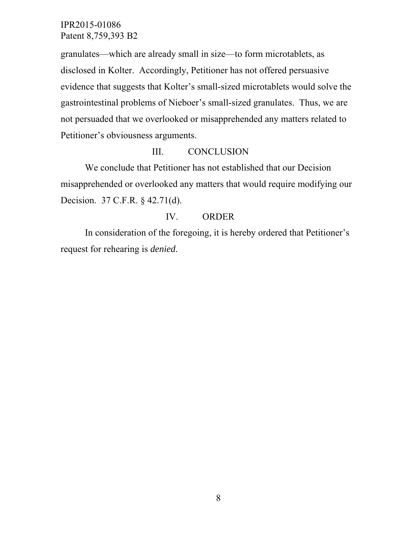granulates—which are already small in size—to form microtablets, as disclosed in Kolter. Accordingly, Petitioner has not offered persuasive evidence that suggests that Kolter's small-sized microtablets would solve the gastrointestinal problems of Nieboer's small-sized granulates. Thus, we are not persuaded that we overlooked or misapprehended any matters related to Petitioner's obviousness arguments.

### III. CONCLUSION

We conclude that Petitioner has not established that our Decision misapprehended or overlooked any matters that would require modifying our Decision. 37 C.F.R. § 42.71(d).

## IV. ORDER

In consideration of the foregoing, it is hereby ordered that Petitioner's request for rehearing is *denied*.